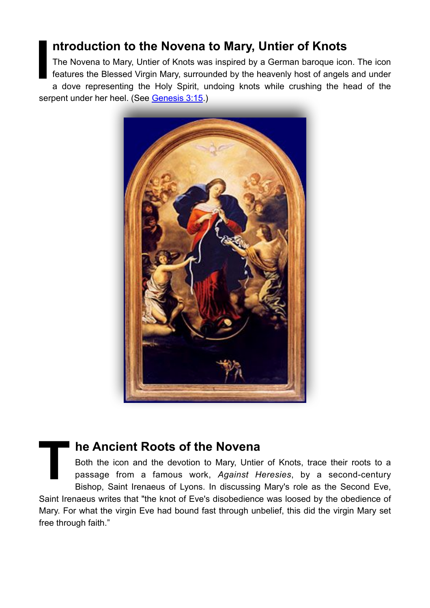## **ntroduction to the Novena to Mary, Untier of Knots**

**I** The Novena to Mary, Untier of Knots was inspired by a German baroque icon. The icon features the Blessed Virgin Mary, surrounded by the heavenly host of angels and under a dove representing the Holy Spirit, undoing knots while crushing the head of the serpent under her heel. (See [Genesis 3:15.](http://drbo.org/x/d?b=drb&bk=1&ch=3&l=15#x))



## **The Ancient Roots of the Novena**

Both the icon and the devotion to Mary, Untier of Knots, trace their roots to a passage from a famous work, *Against Heresies*, by a second-century Bishop, [Saint Irenaeus of Lyons.](https://www.thoughtco.com/saints-of-the-early-christian-church-117714) In discussing Mary's role as the Second Eve, Saint Irenaeus writes that "the knot of Eve's disobedience was loosed by the obedience of Mary. For what the virgin Eve had bound fast through unbelief, this did the virgin Mary set free through faith."